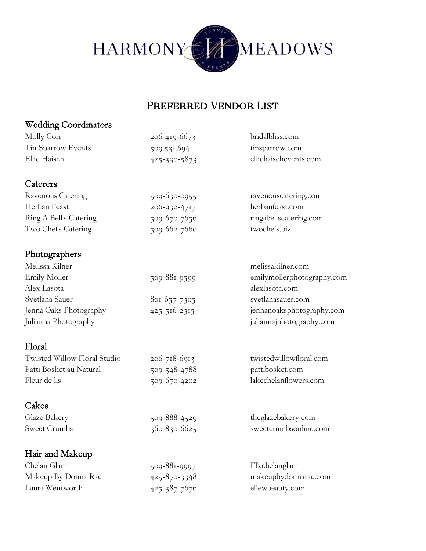

#### Preferred Vendor List

## Wedding Coordinators Molly Corr 206-419-6673 [bridalbliss.com](http://www.bridalbliss.com/) Tin Sparrow Events 509.531.6941 [tinsparrow.com](http://www.pdotevents.com/) Ellie Haisch 425-330-5873 elliehaischevents.com **Caterers** Ravenous Catering 509-630-0955 ravenouscatering.com Herban Feast 206-932-4717 herbanfeast.com Ring A Bells Catering 509-670-7656 ringabellscatering.com Two Chef's Catering 509-662-7660 two chefs.biz Photographers Melissa Kilner melissakilner.com Emily Moller 509-881-9599 [emilymollerphotography.com](http://www.emilymollerphotography.com/) Alex Lasota alexlasota.com Svetlana Sauer 801-657-7305 svetlanasauer.com Jenna Oaks Photography 425-516-2315 jennanoaksphotography.com Julianna Photography juliannajphotography.com Floral Twisted Willow Floral Studio 206-718-6913 twistedwillowfloral.com Patti Bosket au Natural 509-548-4788 pattibosket.com Fleur de lis 509-670-4202 [lakechelanflowers.com](http://www.lakechelanflowers.com/) Cakes Glaze Bakery 509-888-4529 theglazebakery.com Sweet Crumbs 360-830-6625 sweetcrumbsonline.com Hair and Makeup Chelan Glam 509-881-9997 FB:chelanglam Makeup By Donna Rae 425-870-3348 makeupbydonnarae.com Laura Wentworth 425-387-7676 ellewbeauty.com